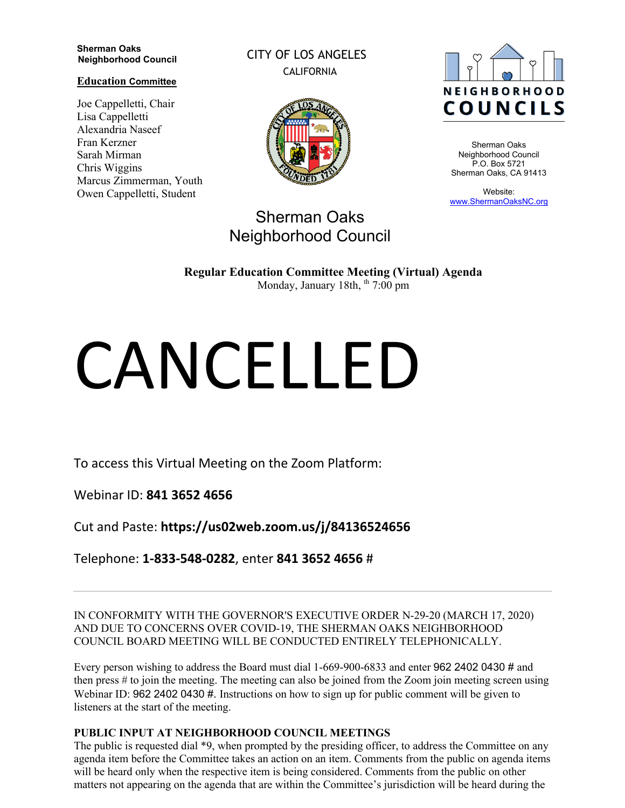#### **Sherman Oaks Neighborhood Council**

**Education Committee**

Joe Cappelletti, Chair Lisa Cappelletti Alexandria Naseef Fran Kerzner Sarah Mirman Chris Wiggins Marcus Zimmerman, Youth Owen Cappelletti, Student

CITY OF LOS ANGELES CALIFORNIA



# Sherman Oaks Neighborhood Council



Sherman Oaks Neighborhood Council P.O. Box 5721 Sherman Oaks, CA 91413

Website: www.ShermanOaksNC.org

**Regular Education Committee Meeting (Virtual) Agenda** 

Monday, January 18th,  $<sup>th</sup>$  7:00 pm</sup>

# CANCELLED

To access this Virtual Meeting on the Zoom Platform:

Webinar ID: **841 3652 4656** 

Cut and Paste: **https://us02web.zoom.us/j/84136524656** 

Telephone: **1-833-548-0282**, enter **841 3652 4656** #

IN CONFORMITY WITH THE GOVERNOR'S EXECUTIVE ORDER N-29-20 (MARCH 17, 2020) AND DUE TO CONCERNS OVER COVID-19, THE SHERMAN OAKS NEIGHBORHOOD COUNCIL BOARD MEETING WILL BE CONDUCTED ENTIRELY TELEPHONICALLY.

Every person wishing to address the Board must dial 1-669-900-6833 and enter 962 2402 0430 # and then press # to join the meeting. The meeting can also be joined from the Zoom join meeting screen using Webinar ID: 962 2402 0430 #. Instructions on how to sign up for public comment will be given to listeners at the start of the meeting.

## **PUBLIC INPUT AT NEIGHBORHOOD COUNCIL MEETINGS**

The public is requested dial \*9, when prompted by the presiding officer, to address the Committee on any agenda item before the Committee takes an action on an item. Comments from the public on agenda items will be heard only when the respective item is being considered. Comments from the public on other matters not appearing on the agenda that are within the Committee's jurisdiction will be heard during the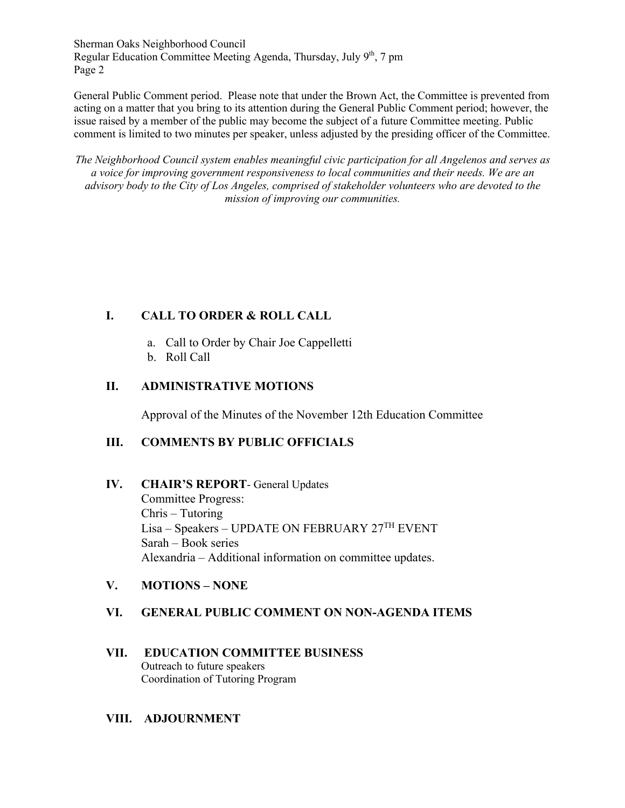Sherman Oaks Neighborhood Council Regular Education Committee Meeting Agenda, Thursday, July 9<sup>th</sup>, 7 pm Page 2

General Public Comment period. Please note that under the Brown Act, the Committee is prevented from acting on a matter that you bring to its attention during the General Public Comment period; however, the issue raised by a member of the public may become the subject of a future Committee meeting. Public comment is limited to two minutes per speaker, unless adjusted by the presiding officer of the Committee.

*The Neighborhood Council system enables meaningful civic participation for all Angelenos and serves as a voice for improving government responsiveness to local communities and their needs. We are an advisory body to the City of Los Angeles, comprised of stakeholder volunteers who are devoted to the mission of improving our communities.*

# **I. CALL TO ORDER & ROLL CALL**

- a. Call to Order by Chair Joe Cappelletti
- b. Roll Call

# **II. ADMINISTRATIVE MOTIONS**

Approval of the Minutes of the November 12th Education Committee

## **III. COMMENTS BY PUBLIC OFFICIALS**

## **IV. CHAIR'S REPORT**- General Updates

Committee Progress: Chris – Tutoring Lisa – Speakers – UPDATE ON FEBRUARY 27TH EVENT Sarah – Book series Alexandria – Additional information on committee updates.

## **V. MOTIONS – NONE**

## **VI. GENERAL PUBLIC COMMENT ON NON-AGENDA ITEMS**

#### **VII. EDUCATION COMMITTEE BUSINESS** Outreach to future speakers Coordination of Tutoring Program

## **VIII. ADJOURNMENT**